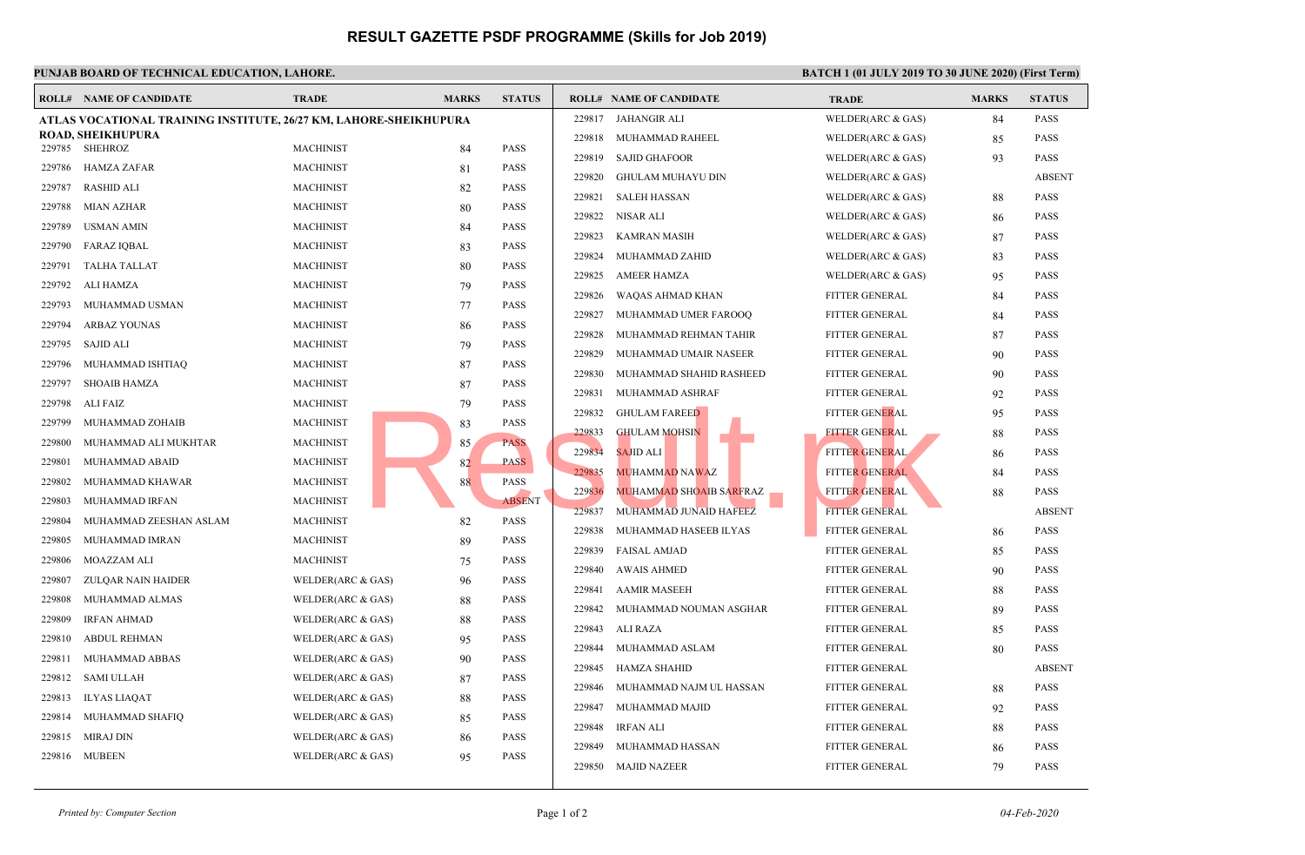## **RESULT GAZETTE PSDF PROGRAMME (Skills for Job 2019)**

| PUNJAB BOARD OF TECHNICAL EDUCATION, LAHORE.<br><b>BATCH1</b> |                                                                   |                                          |                     |             |                            |        |                                |               |  |  |  |  |
|---------------------------------------------------------------|-------------------------------------------------------------------|------------------------------------------|---------------------|-------------|----------------------------|--------|--------------------------------|---------------|--|--|--|--|
|                                                               | <b>ROLL# NAME OF CANDIDATE</b>                                    | <b>TRADE</b>                             | <b>MARKS</b>        |             | <b>STATUS</b>              |        | <b>ROLL# NAME OF CANDIDATE</b> | <b>TRAL</b>   |  |  |  |  |
|                                                               | ATLAS VOCATIONAL TRAINING INSTITUTE, 26/27 KM, LAHORE-SHEIKHUPURA |                                          | 229817 JAHANGIR ALI | <b>WELD</b> |                            |        |                                |               |  |  |  |  |
|                                                               | <b>ROAD, SHEIKHUPURA</b><br>229785 SHEHROZ                        | <b>MACHINIST</b>                         |                     |             | <b>PASS</b>                | 229818 | MUHAMMAD RAHEEL                | <b>WELD</b>   |  |  |  |  |
| 229786                                                        | HAMZA ZAFAR                                                       | <b>MACHINIST</b>                         |                     | 84<br>81    | <b>PASS</b>                | 229819 | <b>SAJID GHAFOOR</b>           | <b>WELD</b>   |  |  |  |  |
| 229787                                                        | <b>RASHID ALI</b>                                                 | <b>MACHINIST</b>                         |                     | 82          | <b>PASS</b>                | 229820 | <b>GHULAM MUHAYU DIN</b>       | <b>WELD</b>   |  |  |  |  |
| 229788                                                        | <b>MIAN AZHAR</b>                                                 | <b>MACHINIST</b>                         |                     | 80          | <b>PASS</b>                | 229821 | <b>SALEH HASSAN</b>            | <b>WELD</b>   |  |  |  |  |
| 229789                                                        | <b>USMAN AMIN</b>                                                 | <b>MACHINIST</b>                         |                     |             | <b>PASS</b>                | 229822 | NISAR ALI                      | <b>WELD</b>   |  |  |  |  |
| 229790                                                        | <b>FARAZ IQBAL</b>                                                | <b>MACHINIST</b>                         |                     | 84<br>83    | <b>PASS</b>                | 229823 | <b>KAMRAN MASIH</b>            | <b>WELD</b>   |  |  |  |  |
| 229791                                                        | <b>TALHA TALLAT</b>                                               | <b>MACHINIST</b>                         |                     |             | <b>PASS</b>                | 229824 | MUHAMMAD ZAHID                 | <b>WELD</b>   |  |  |  |  |
| 229792                                                        | ALI HAMZA                                                         | <b>MACHINIST</b>                         |                     | 80          | <b>PASS</b>                | 229825 | <b>AMEER HAMZA</b>             | <b>WELD</b>   |  |  |  |  |
| 229793                                                        | MUHAMMAD USMAN                                                    | <b>MACHINIST</b>                         |                     | 79<br>77    | <b>PASS</b>                | 229826 | WAQAS AHMAD KHAN               | <b>FITTE</b>  |  |  |  |  |
| 229794                                                        | <b>ARBAZ YOUNAS</b>                                               | <b>MACHINIST</b>                         |                     | 86          | <b>PASS</b>                | 229827 | MUHAMMAD UMER FAROOQ           | <b>FITTEI</b> |  |  |  |  |
| 229795                                                        | SAJID ALI                                                         | <b>MACHINIST</b>                         |                     |             | <b>PASS</b>                | 229828 | MUHAMMAD REHMAN TAHIR          | <b>FITTEI</b> |  |  |  |  |
|                                                               |                                                                   | <b>MACHINIST</b>                         |                     | 79          | <b>PASS</b>                | 229829 | MUHAMMAD UMAIR NASEER          | <b>FITTEI</b> |  |  |  |  |
| 229796<br>229797                                              | MUHAMMAD ISHTIAQ<br><b>SHOAIB HAMZA</b>                           | <b>MACHINIST</b>                         |                     | 87          | <b>PASS</b>                | 229830 | MUHAMMAD SHAHID RASHEED        | <b>FITTEI</b> |  |  |  |  |
|                                                               |                                                                   |                                          |                     | 87          |                            | 229831 | MUHAMMAD ASHRAF                | <b>FITTEI</b> |  |  |  |  |
| 229798<br>229799                                              | ALI FAIZ                                                          | <b>MACHINIST</b><br><b>MACHINIST</b>     |                     | 79          | <b>PASS</b><br><b>PASS</b> | 229832 | <b>GHULAM FAREED</b>           | <b>FITTEI</b> |  |  |  |  |
| 229800                                                        | MUHAMMAD ZOHAIB<br>MUHAMMAD ALI MUKHTAR                           | <b>MACHINIST</b>                         |                     | 83          |                            | 229833 | <b>GHULAM MOHSIN</b>           | <b>FITTE</b>  |  |  |  |  |
|                                                               |                                                                   | <b>MACHINIST</b>                         |                     | 85          | <b>PASS</b><br><b>PASS</b> | 229834 | <b>SAJID ALI</b>               | <b>FITTE</b>  |  |  |  |  |
| 229801<br>229802                                              | MUHAMMAD ABAID<br>MUHAMMAD KHAWAR                                 | <b>MACHINIST</b>                         |                     | 82          | <b>PASS</b>                | 229835 | <b>MUHAMMAD NAWAZ</b>          | <b>FITTEI</b> |  |  |  |  |
|                                                               |                                                                   | <b>MACHINIST</b>                         |                     | 88          | <b>ABSENT</b>              | 229836 | <b>MUHAMMAD SHOAIB SARFRAZ</b> | <b>FITTE</b>  |  |  |  |  |
| 229803                                                        | MUHAMMAD IRFAN<br>MUHAMMAD ZEESHAN ASLAM                          | <b>MACHINIST</b>                         |                     |             | <b>PASS</b>                | 229837 | MUHAMMAD JUNAID HAFEEZ         | <b>FITTEI</b> |  |  |  |  |
| 229804<br>229805                                              |                                                                   |                                          |                     | 82          | <b>PASS</b>                | 229838 | MUHAMMAD HASEEB ILYAS          | <b>FITTEI</b> |  |  |  |  |
|                                                               | MUHAMMAD IMRAN                                                    | <b>MACHINIST</b>                         |                     | 89          | <b>PASS</b>                | 229839 | <b>FAISAL AMJAD</b>            | <b>FITTEI</b> |  |  |  |  |
| 229806<br>229807                                              | MOAZZAM ALI<br><b>ZULQAR NAIN HAIDER</b>                          | <b>MACHINIST</b><br>WELDER(ARC & GAS)    |                     | 75          | <b>PASS</b>                | 229840 | <b>AWAIS AHMED</b>             | <b>FITTEI</b> |  |  |  |  |
| 229808                                                        | MUHAMMAD ALMAS                                                    | WELDER(ARC & GAS)                        |                     | 96          | <b>PASS</b>                | 229841 | <b>AAMIR MASEEH</b>            | <b>FITTEI</b> |  |  |  |  |
|                                                               | <b>IRFAN AHMAD</b>                                                |                                          |                     | 88          | <b>PASS</b>                | 229842 | MUHAMMAD NOUMAN ASGHAR         | <b>FITTEI</b> |  |  |  |  |
| 229809<br>229810                                              | <b>ABDUL REHMAN</b>                                               | WELDER(ARC & GAS)<br>WELDER(ARC $&$ GAS) |                     | 88          | <b>PASS</b>                | 229843 | ALI RAZA                       | <b>FITTEI</b> |  |  |  |  |
| 229811                                                        | MUHAMMAD ABBAS                                                    |                                          |                     | 95          | PASS                       | 229844 | MUHAMMAD ASLAM                 | <b>FITTEI</b> |  |  |  |  |
| 229812                                                        | SAMI ULLAH                                                        | WELDER(ARC $&$ GAS)                      |                     | 90          | <b>PASS</b>                | 229845 | HAMZA SHAHID                   | <b>FITTEI</b> |  |  |  |  |
| 229813                                                        | <b>ILYAS LIAQAT</b>                                               | WELDER(ARC & GAS)<br>WELDER(ARC & GAS)   |                     | 87          | <b>PASS</b>                | 229846 | MUHAMMAD NAJM UL HASSAN        | <b>FITTEI</b> |  |  |  |  |
| 229814                                                        |                                                                   |                                          |                     | 88          | PASS                       | 229847 | MUHAMMAD MAJID                 | <b>FITTEI</b> |  |  |  |  |
| 229815                                                        | MUHAMMAD SHAFIQ<br>MIRAJ DIN                                      | WELDER(ARC $&$ GAS)<br>WELDER(ARC & GAS) |                     | 85          | <b>PASS</b>                | 229848 | <b>IRFAN ALI</b>               | <b>FITTEI</b> |  |  |  |  |
|                                                               |                                                                   |                                          |                     | 86          | <b>PASS</b>                | 229849 | MUHAMMAD HASSAN                | <b>FITTE</b>  |  |  |  |  |
|                                                               | 229816 MUBEEN                                                     | WELDER(ARC & GAS)                        |                     | 95          |                            |        | 229850 MAJID NAZEER            | <b>FITTEI</b> |  |  |  |  |